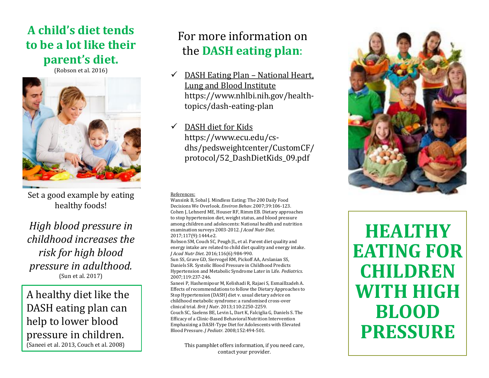## **A child's diet tends to be a lot like their parent's diet.**

(Robson et al. 2016)



Set a good example by eating healthy foods!

*High blood pressure in childhood increases the risk for high blood pressure in adulthood.*  (Sun et al. 2017)

A healthy diet like the DASH eating plan can help to lower blood pressure in children. (Saneei et al. 2013, Couch et al. 2008)

# For more information on the **DASH eating plan**:

- $\checkmark$  DASH Eating Plan National Heart, Lung and Blood Institute https://www.nhlbi.nih.gov/healthtopics/dash-eating-plan
- $\checkmark$  DASH diet for Kids https://www.ecu.edu/csdhs/pedsweightcenter/CustomCF/ protocol/52\_DashDietKids\_09.pdf

#### References:

Wansink B, Sobal J. Mindless Eating: The 200 Daily Food Decisions We Overlook. *Environ Behav*. 2007;39:106-123. Cohen J, Lehnerd ME, Houser RF, Rimm EB. Dietary approaches to stop hypertension diet, weight status, and blood pressure among children and adolescents: National health and nutrition examination surveys 2003-2012*. J Acad Nutr Diet*. 2017;117(9):1444.e2.

Robson SM, Couch SC, Peugh JL, et al. Parent diet quality and energy intake are related to child diet quality and energy intake. *J Acad Nutr Diet*. 2016;116(6):984-990.

Sun SS, Grave GD, Siervogel RM, Pickoff AA, Arslanian SS, Daniels SR. Systolic Blood Pressure in Childhood Predicts Hypertension and Metabolic Syndrome Later in Life. *Pediatrics*. 2007;119:237-246.

Saneei P, Hashemipour M, Kelishadi R, Rajaei S, Esmaillzadeh A. Effects of recommendations to follow the Dietary Approaches to Stop Hypertension (DASH) diet v. usual dietary advice on childhood metabolic syndrome: a randomised cross-over clinical trial*. Brit J Nutr*. 2013;110:2250-2259. Couch SC, Saelens BE, Levin L, Dart K, Falciglia G, Daniels S. The Efficacy of a Clinic-Based Behavioral Nutrition Intervention Emphasizing a DASH-Type Diet for Adolescents with Elevated Blood Pressure. *J Pediatr*. 2008;152:494-501.

> This pamphlet offers information, if you need care, contact your provider.



**HEALTHY EATING FOR CHILDREN WITH HIGH BLOOD PRESSURE**